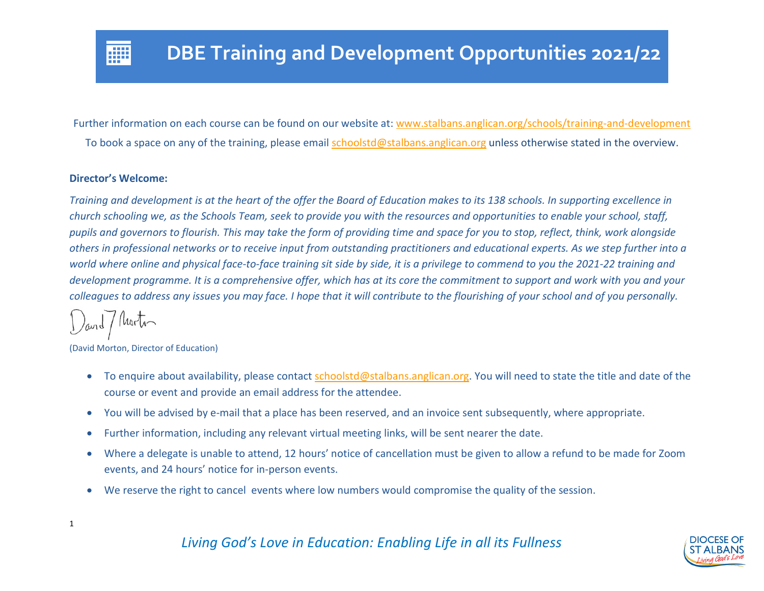Further information on each course can be found on our website at: www.stalbans.anglican.org/schools/training-and-development

To book a space on any of the training, please email [schoolstd@stalbans.anglican.org](mailto:schoolstd@stalbans.anglican.org) unless otherwise stated in the overview.

#### **Director's Welcome:**

p₩

*Training and development is at the heart of the offer the Board of Education makes to its 138 schools. In supporting excellence in church schooling we, as the Schools Team, seek to provide you with the resources and opportunities to enable your school, staff, pupils and governors to flourish. This may take the form of providing time and space for you to stop, reflect, think, work alongside others in professional networks or to receive input from outstanding practitioners and educational experts. As we step further into a world where online and physical face-to-face training sit side by side, it is a privilege to commend to you the 2021-22 training and development programme. It is a comprehensive offer, which has at its core the commitment to support and work with you and your colleagues to address any issues you may face. I hope that it will contribute to the flourishing of your school and of you personally.* 

(David Morton, Director of Education)

- To enquire about availability, please contact [schoolstd@stalbans.anglican.org.](mailto:schoolstd@stalbans.anglican.org) You will need to state the title and date of the course or event and provide an email address for the attendee.
- You will be advised by e-mail that a place has been reserved, and an invoice sent subsequently, where appropriate.
- Further information, including any relevant virtual meeting links, will be sent nearer the date.
- Where a delegate is unable to attend, 12 hours' notice of cancellation must be given to allow a refund to be made for Zoom events, and 24 hours' notice for in-person events.
- We reserve the right to cancel events where low numbers would compromise the quality of the session.

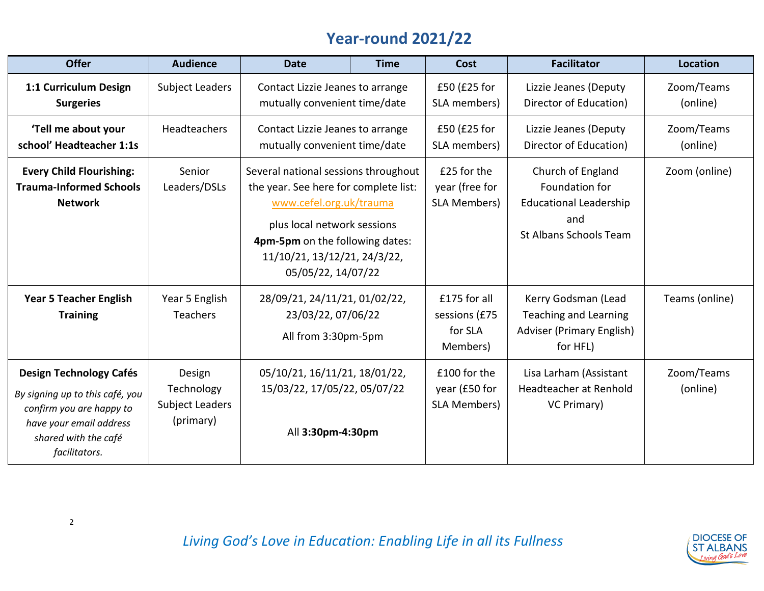# **Year-round 2021/22**

| <b>Offer</b>                                                                                                                                                      | <b>Audience</b>                                      | <b>Date</b>                                                                                                                                                                                                                      | <b>Time</b> | Cost                                                 | <b>Facilitator</b>                                                                                    | Location               |
|-------------------------------------------------------------------------------------------------------------------------------------------------------------------|------------------------------------------------------|----------------------------------------------------------------------------------------------------------------------------------------------------------------------------------------------------------------------------------|-------------|------------------------------------------------------|-------------------------------------------------------------------------------------------------------|------------------------|
| 1:1 Curriculum Design<br><b>Surgeries</b>                                                                                                                         | Subject Leaders                                      | Contact Lizzie Jeanes to arrange<br>mutually convenient time/date                                                                                                                                                                |             | £50 (£25 for<br>SLA members)                         | Lizzie Jeanes (Deputy<br>Director of Education)                                                       | Zoom/Teams<br>(online) |
| 'Tell me about your<br>school' Headteacher 1:1s                                                                                                                   | Headteachers                                         | Contact Lizzie Jeanes to arrange<br>mutually convenient time/date                                                                                                                                                                |             | £50 (£25 for<br>SLA members)                         | Lizzie Jeanes (Deputy<br>Director of Education)                                                       | Zoom/Teams<br>(online) |
| <b>Every Child Flourishing:</b><br><b>Trauma-Informed Schools</b><br><b>Network</b>                                                                               | Senior<br>Leaders/DSLs                               | Several national sessions throughout<br>the year. See here for complete list:<br>www.cefel.org.uk/trauma<br>plus local network sessions<br>4pm-5pm on the following dates:<br>11/10/21, 13/12/21, 24/3/22,<br>05/05/22, 14/07/22 |             | £25 for the<br>year (free for<br>SLA Members)        | Church of England<br>Foundation for<br><b>Educational Leadership</b><br>and<br>St Albans Schools Team | Zoom (online)          |
| <b>Year 5 Teacher English</b><br><b>Training</b>                                                                                                                  | Year 5 English<br><b>Teachers</b>                    | 28/09/21, 24/11/21, 01/02/22,<br>23/03/22, 07/06/22<br>All from 3:30pm-5pm                                                                                                                                                       |             | £175 for all<br>sessions (£75<br>for SLA<br>Members) | Kerry Godsman (Lead<br><b>Teaching and Learning</b><br>Adviser (Primary English)<br>for HFL)          | Teams (online)         |
| <b>Design Technology Cafés</b><br>By signing up to this café, you<br>confirm you are happy to<br>have your email address<br>shared with the café<br>facilitators. | Design<br>Technology<br>Subject Leaders<br>(primary) | 05/10/21, 16/11/21, 18/01/22,<br>15/03/22, 17/05/22, 05/07/22<br>All 3:30pm-4:30pm                                                                                                                                               |             | £100 for the<br>year (£50 for<br>SLA Members)        | Lisa Larham (Assistant<br>Headteacher at Renhold<br>VC Primary)                                       | Zoom/Teams<br>(online) |

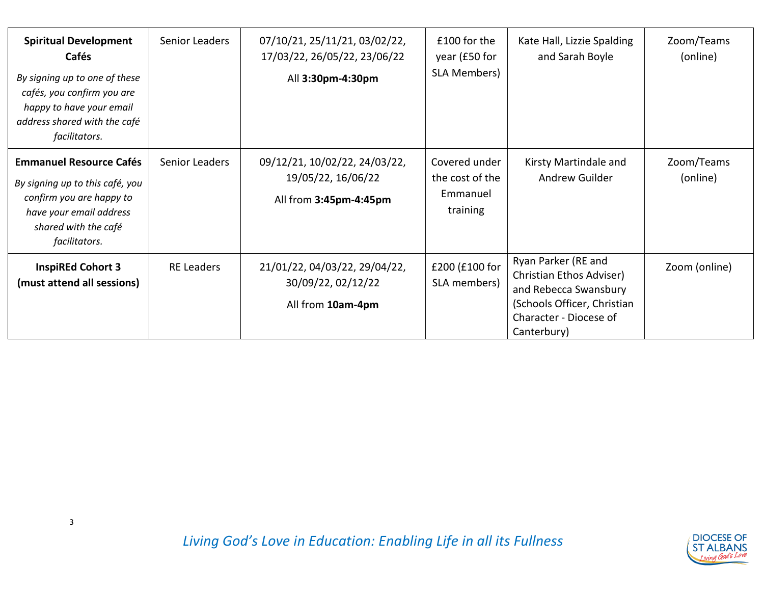| <b>Spiritual Development</b><br><b>Cafés</b><br>By signing up to one of these<br>cafés, you confirm you are<br>happy to have your email<br>address shared with the café<br>facilitators. | Senior Leaders    | 07/10/21, 25/11/21, 03/02/22,<br>17/03/22, 26/05/22, 23/06/22<br>All 3:30pm-4:30pm | £100 for the<br>year (£50 for<br>SLA Members)            | Kate Hall, Lizzie Spalding<br>and Sarah Boyle                                                                                                    | Zoom/Teams<br>(online) |
|------------------------------------------------------------------------------------------------------------------------------------------------------------------------------------------|-------------------|------------------------------------------------------------------------------------|----------------------------------------------------------|--------------------------------------------------------------------------------------------------------------------------------------------------|------------------------|
| <b>Emmanuel Resource Cafés</b><br>By signing up to this café, you<br>confirm you are happy to<br>have your email address<br>shared with the café<br>facilitators.                        | Senior Leaders    | 09/12/21, 10/02/22, 24/03/22,<br>19/05/22, 16/06/22<br>All from 3:45pm-4:45pm      | Covered under<br>the cost of the<br>Emmanuel<br>training | Kirsty Martindale and<br>Andrew Guilder                                                                                                          | Zoom/Teams<br>(online) |
| <b>InspiREd Cohort 3</b><br>(must attend all sessions)                                                                                                                                   | <b>RE Leaders</b> | 21/01/22, 04/03/22, 29/04/22,<br>30/09/22, 02/12/22<br>All from 10am-4pm           | £200 (£100 for<br>SLA members)                           | Ryan Parker (RE and<br>Christian Ethos Adviser)<br>and Rebecca Swansbury<br>(Schools Officer, Christian<br>Character - Diocese of<br>Canterbury) | Zoom (online)          |

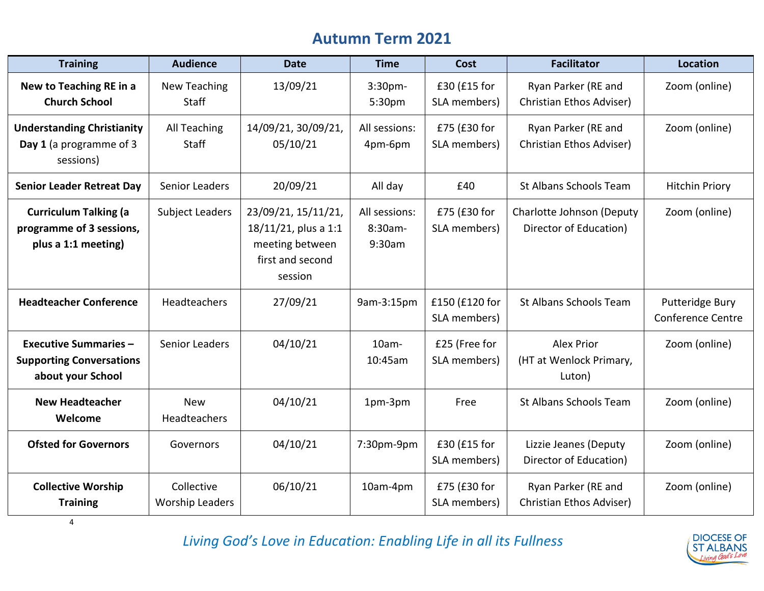## **Autumn Term 2021**

| <b>Training</b>                                                                      | <b>Audience</b>                      | <b>Date</b>                                                                                      | <b>Time</b>                        | <b>Cost</b>                    | <b>Facilitator</b>                                     | <b>Location</b>                                    |
|--------------------------------------------------------------------------------------|--------------------------------------|--------------------------------------------------------------------------------------------------|------------------------------------|--------------------------------|--------------------------------------------------------|----------------------------------------------------|
| New to Teaching RE in a<br><b>Church School</b>                                      | New Teaching<br><b>Staff</b>         | 13/09/21                                                                                         | 3:30 <sub>pm</sub><br>5:30pm       | £30 (£15 for<br>SLA members)   | Ryan Parker (RE and<br>Christian Ethos Adviser)        | Zoom (online)                                      |
| <b>Understanding Christianity</b><br>Day 1 (a programme of 3<br>sessions)            | All Teaching<br><b>Staff</b>         | 14/09/21, 30/09/21,<br>05/10/21                                                                  | All sessions:<br>4pm-6pm           | £75 (£30 for<br>SLA members)   | Ryan Parker (RE and<br>Christian Ethos Adviser)        | Zoom (online)                                      |
| <b>Senior Leader Retreat Day</b>                                                     | <b>Senior Leaders</b>                | 20/09/21                                                                                         | All day                            | £40                            | St Albans Schools Team                                 | <b>Hitchin Priory</b>                              |
| <b>Curriculum Talking (a</b><br>programme of 3 sessions,<br>plus a 1:1 meeting)      | <b>Subject Leaders</b>               | 23/09/21, 15/11/21,<br>$18/11/21$ , plus a 1:1<br>meeting between<br>first and second<br>session | All sessions:<br>8:30am-<br>9:30am | £75 (£30 for<br>SLA members)   | Charlotte Johnson (Deputy<br>Director of Education)    | Zoom (online)                                      |
| <b>Headteacher Conference</b>                                                        | Headteachers                         | 27/09/21                                                                                         | 9am-3:15pm                         | £150 (£120 for<br>SLA members) | St Albans Schools Team                                 | <b>Putteridge Bury</b><br><b>Conference Centre</b> |
| <b>Executive Summaries -</b><br><b>Supporting Conversations</b><br>about your School | Senior Leaders                       | 04/10/21                                                                                         | $10am -$<br>10:45am                | £25 (Free for<br>SLA members)  | <b>Alex Prior</b><br>(HT at Wenlock Primary,<br>Luton) | Zoom (online)                                      |
| <b>New Headteacher</b><br>Welcome                                                    | <b>New</b><br><b>Headteachers</b>    | 04/10/21                                                                                         | 1pm-3pm                            | Free                           | St Albans Schools Team                                 | Zoom (online)                                      |
| <b>Ofsted for Governors</b>                                                          | Governors                            | 04/10/21                                                                                         | 7:30pm-9pm                         | £30 (£15 for<br>SLA members)   | Lizzie Jeanes (Deputy<br>Director of Education)        | Zoom (online)                                      |
| <b>Collective Worship</b><br><b>Training</b>                                         | Collective<br><b>Worship Leaders</b> | 06/10/21                                                                                         | 10am-4pm                           | £75 (£30 for<br>SLA members)   | Ryan Parker (RE and<br>Christian Ethos Adviser)        | Zoom (online)                                      |

4

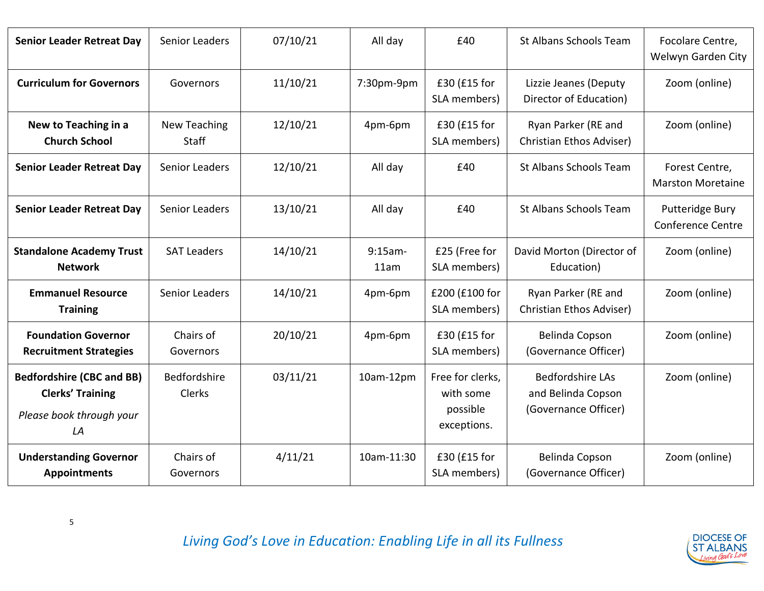| <b>Senior Leader Retreat Day</b>                                                              | <b>Senior Leaders</b>        | 07/10/21 | All day            | £40                                                      | St Albans Schools Team                                                | Focolare Centre,<br>Welwyn Garden City      |
|-----------------------------------------------------------------------------------------------|------------------------------|----------|--------------------|----------------------------------------------------------|-----------------------------------------------------------------------|---------------------------------------------|
| <b>Curriculum for Governors</b>                                                               | Governors                    | 11/10/21 | 7:30pm-9pm         | £30 (£15 for<br>SLA members)                             | Lizzie Jeanes (Deputy<br>Director of Education)                       | Zoom (online)                               |
| New to Teaching in a<br><b>Church School</b>                                                  | New Teaching<br><b>Staff</b> | 12/10/21 | 4pm-6pm            | £30 (£15 for<br>SLA members)                             | Ryan Parker (RE and<br>Christian Ethos Adviser)                       | Zoom (online)                               |
| <b>Senior Leader Retreat Day</b>                                                              | Senior Leaders               | 12/10/21 | All day            | £40                                                      | St Albans Schools Team                                                | Forest Centre,<br><b>Marston Moretaine</b>  |
| <b>Senior Leader Retreat Day</b>                                                              | Senior Leaders               | 13/10/21 | All day            | £40                                                      | St Albans Schools Team                                                | Putteridge Bury<br><b>Conference Centre</b> |
| <b>Standalone Academy Trust</b><br><b>Network</b>                                             | <b>SAT Leaders</b>           | 14/10/21 | $9:15am -$<br>11am | £25 (Free for<br>SLA members)                            | David Morton (Director of<br>Education)                               | Zoom (online)                               |
| <b>Emmanuel Resource</b><br><b>Training</b>                                                   | <b>Senior Leaders</b>        | 14/10/21 | 4pm-6pm            | £200 (£100 for<br>SLA members)                           | Ryan Parker (RE and<br>Christian Ethos Adviser)                       | Zoom (online)                               |
| <b>Foundation Governor</b><br><b>Recruitment Strategies</b>                                   | Chairs of<br>Governors       | 20/10/21 | 4pm-6pm            | £30 (£15 for<br>SLA members)                             | Belinda Copson<br>(Governance Officer)                                | Zoom (online)                               |
| <b>Bedfordshire (CBC and BB)</b><br><b>Clerks' Training</b><br>Please book through your<br>LA | Bedfordshire<br>Clerks       | 03/11/21 | $10am-12pm$        | Free for clerks,<br>with some<br>possible<br>exceptions. | <b>Bedfordshire LAs</b><br>and Belinda Copson<br>(Governance Officer) | Zoom (online)                               |
| <b>Understanding Governor</b><br><b>Appointments</b>                                          | Chairs of<br>Governors       | 4/11/21  | 10am-11:30         | £30 (£15 for<br>SLA members)                             | Belinda Copson<br>(Governance Officer)                                | Zoom (online)                               |

*Living God's Love in Education: Enabling Life in all its Fullness*

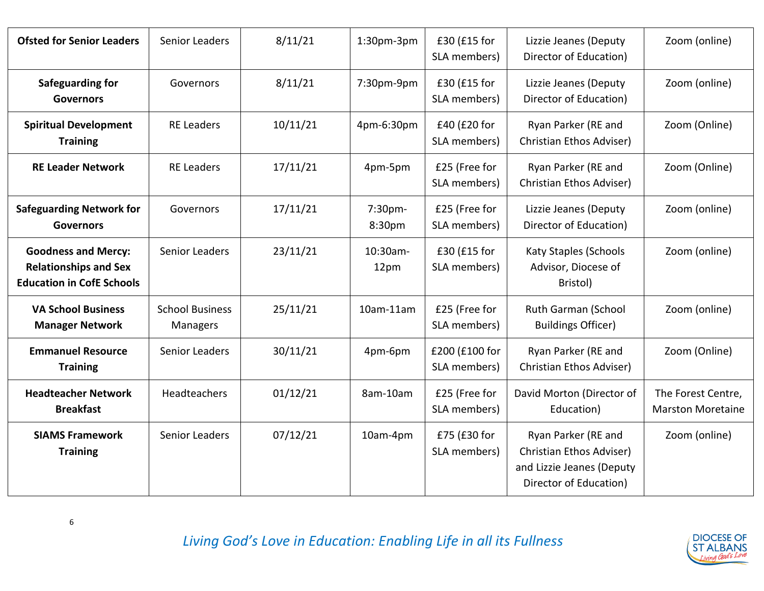| <b>Ofsted for Senior Leaders</b>                                                               | Senior Leaders                            | 8/11/21  | $1:30pm-3pm$      | £30 (£15 for<br>SLA members)   | Lizzie Jeanes (Deputy<br>Director of Education)                                                        | Zoom (online)                                  |
|------------------------------------------------------------------------------------------------|-------------------------------------------|----------|-------------------|--------------------------------|--------------------------------------------------------------------------------------------------------|------------------------------------------------|
| Safeguarding for<br><b>Governors</b>                                                           | Governors                                 | 8/11/21  | 7:30pm-9pm        | £30 (£15 for<br>SLA members)   | Lizzie Jeanes (Deputy<br>Director of Education)                                                        | Zoom (online)                                  |
| <b>Spiritual Development</b><br><b>Training</b>                                                | <b>RE Leaders</b>                         | 10/11/21 | 4pm-6:30pm        | £40 (£20 for<br>SLA members)   | Ryan Parker (RE and<br>Christian Ethos Adviser)                                                        | Zoom (Online)                                  |
| <b>RE Leader Network</b>                                                                       | <b>RE Leaders</b>                         | 17/11/21 | 4pm-5pm           | £25 (Free for<br>SLA members)  | Ryan Parker (RE and<br>Christian Ethos Adviser)                                                        | Zoom (Online)                                  |
| <b>Safeguarding Network for</b><br><b>Governors</b>                                            | Governors                                 | 17/11/21 | 7:30pm-<br>8:30pm | £25 (Free for<br>SLA members)  | Lizzie Jeanes (Deputy<br>Director of Education)                                                        | Zoom (online)                                  |
| <b>Goodness and Mercy:</b><br><b>Relationships and Sex</b><br><b>Education in CofE Schools</b> | <b>Senior Leaders</b>                     | 23/11/21 | 10:30am-<br>12pm  | £30 (£15 for<br>SLA members)   | Katy Staples (Schools<br>Advisor, Diocese of<br>Bristol)                                               | Zoom (online)                                  |
| <b>VA School Business</b><br><b>Manager Network</b>                                            | <b>School Business</b><br><b>Managers</b> | 25/11/21 | $10am-11am$       | £25 (Free for<br>SLA members)  | <b>Ruth Garman (School</b><br><b>Buildings Officer)</b>                                                | Zoom (online)                                  |
| <b>Emmanuel Resource</b><br><b>Training</b>                                                    | Senior Leaders                            | 30/11/21 | 4pm-6pm           | £200 (£100 for<br>SLA members) | Ryan Parker (RE and<br>Christian Ethos Adviser)                                                        | Zoom (Online)                                  |
| <b>Headteacher Network</b><br><b>Breakfast</b>                                                 | Headteachers                              | 01/12/21 | 8am-10am          | £25 (Free for<br>SLA members)  | David Morton (Director of<br>Education)                                                                | The Forest Centre,<br><b>Marston Moretaine</b> |
| <b>SIAMS Framework</b><br><b>Training</b>                                                      | Senior Leaders                            | 07/12/21 | 10am-4pm          | £75 (£30 for<br>SLA members)   | Ryan Parker (RE and<br>Christian Ethos Adviser)<br>and Lizzie Jeanes (Deputy<br>Director of Education) | Zoom (online)                                  |

*Living God's Love in Education: Enabling Life in all its Fullness*

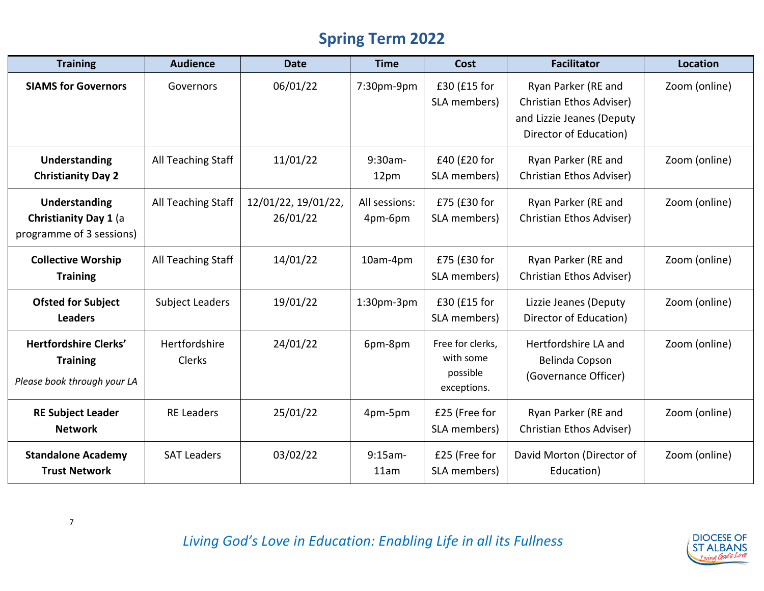# **Spring Term 2022**

| <b>Training</b>                                                                | <b>Audience</b>         | <b>Date</b>                     | <b>Time</b>              | Cost                                                     | <b>Facilitator</b>                                                                                     | <b>Location</b> |
|--------------------------------------------------------------------------------|-------------------------|---------------------------------|--------------------------|----------------------------------------------------------|--------------------------------------------------------------------------------------------------------|-----------------|
| <b>SIAMS for Governors</b>                                                     | Governors               | 06/01/22                        | 7:30pm-9pm               | £30 (£15 for<br>SLA members)                             | Ryan Parker (RE and<br>Christian Ethos Adviser)<br>and Lizzie Jeanes (Deputy<br>Director of Education) | Zoom (online)   |
| Understanding<br><b>Christianity Day 2</b>                                     | All Teaching Staff      | 11/01/22                        | $9:30$ am-<br>12pm       | £40 (£20 for<br>SLA members)                             | Ryan Parker (RE and<br>Christian Ethos Adviser)                                                        | Zoom (online)   |
| Understanding<br><b>Christianity Day 1 (a)</b><br>programme of 3 sessions)     | All Teaching Staff      | 12/01/22, 19/01/22,<br>26/01/22 | All sessions:<br>4pm-6pm | £75 (£30 for<br>SLA members)                             | Ryan Parker (RE and<br>Christian Ethos Adviser)                                                        | Zoom (online)   |
| <b>Collective Worship</b><br><b>Training</b>                                   | All Teaching Staff      | 14/01/22                        | 10am-4pm                 | £75 (£30 for<br>SLA members)                             | Ryan Parker (RE and<br>Christian Ethos Adviser)                                                        | Zoom (online)   |
| <b>Ofsted for Subject</b><br><b>Leaders</b>                                    | <b>Subject Leaders</b>  | 19/01/22                        | $1:30$ pm- $3$ pm        | £30 (£15 for<br>SLA members)                             | Lizzie Jeanes (Deputy<br>Director of Education)                                                        | Zoom (online)   |
| <b>Hertfordshire Clerks'</b><br><b>Training</b><br>Please book through your LA | Hertfordshire<br>Clerks | 24/01/22                        | 6pm-8pm                  | Free for clerks,<br>with some<br>possible<br>exceptions. | Hertfordshire LA and<br>Belinda Copson<br>(Governance Officer)                                         | Zoom (online)   |
| <b>RE Subject Leader</b><br><b>Network</b>                                     | <b>RE Leaders</b>       | 25/01/22                        | 4pm-5pm                  | £25 (Free for<br>SLA members)                            | Ryan Parker (RE and<br>Christian Ethos Adviser)                                                        | Zoom (online)   |
| <b>Standalone Academy</b><br><b>Trust Network</b>                              | <b>SAT Leaders</b>      | 03/02/22                        | $9:15am -$<br>11am       | £25 (Free for<br>SLA members)                            | David Morton (Director of<br>Education)                                                                | Zoom (online)   |

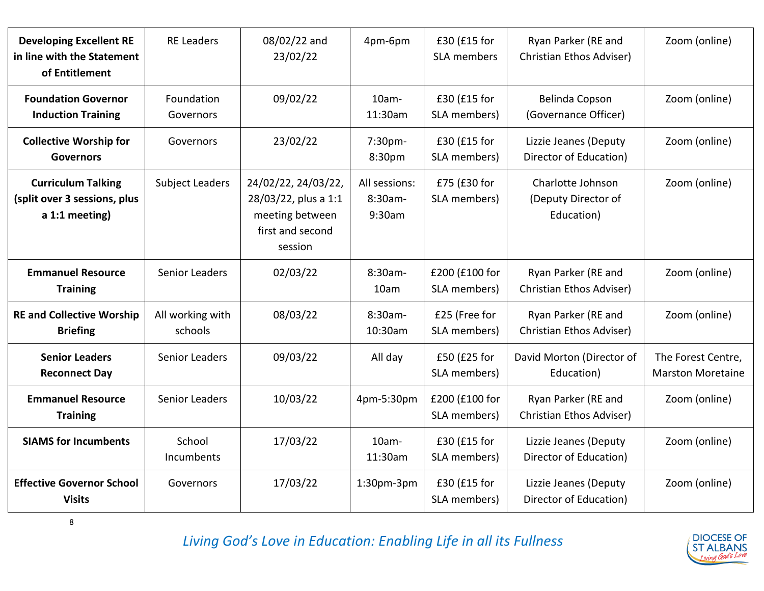| <b>Developing Excellent RE</b><br>in line with the Statement<br>of Entitlement | <b>RE Leaders</b>           | 08/02/22 and<br>23/02/22                                                                      | 4pm-6pm                            | £30 (£15 for<br>SLA members    | Ryan Parker (RE and<br>Christian Ethos Adviser)        | Zoom (online)                                  |
|--------------------------------------------------------------------------------|-----------------------------|-----------------------------------------------------------------------------------------------|------------------------------------|--------------------------------|--------------------------------------------------------|------------------------------------------------|
| <b>Foundation Governor</b><br><b>Induction Training</b>                        | Foundation<br>Governors     | 09/02/22                                                                                      | $10am -$<br>11:30am                | £30 (£15 for<br>SLA members)   | Belinda Copson<br>(Governance Officer)                 | Zoom (online)                                  |
| <b>Collective Worship for</b><br><b>Governors</b>                              | Governors                   | 23/02/22                                                                                      | 7:30pm-<br>8:30pm                  | £30 (£15 for<br>SLA members)   | Lizzie Jeanes (Deputy<br>Director of Education)        | Zoom (online)                                  |
| <b>Curriculum Talking</b><br>(split over 3 sessions, plus<br>a 1:1 meeting)    | <b>Subject Leaders</b>      | 24/02/22, 24/03/22,<br>28/03/22, plus a 1:1<br>meeting between<br>first and second<br>session | All sessions:<br>8:30am-<br>9:30am | £75 (£30 for<br>SLA members)   | Charlotte Johnson<br>(Deputy Director of<br>Education) | Zoom (online)                                  |
| <b>Emmanuel Resource</b><br><b>Training</b>                                    | <b>Senior Leaders</b>       | 02/03/22                                                                                      | 8:30am-<br>10am                    | £200 (£100 for<br>SLA members) | Ryan Parker (RE and<br>Christian Ethos Adviser)        | Zoom (online)                                  |
| <b>RE and Collective Worship</b><br><b>Briefing</b>                            | All working with<br>schools | 08/03/22                                                                                      | 8:30am-<br>10:30am                 | £25 (Free for<br>SLA members)  | Ryan Parker (RE and<br>Christian Ethos Adviser)        | Zoom (online)                                  |
| <b>Senior Leaders</b><br><b>Reconnect Day</b>                                  | Senior Leaders              | 09/03/22                                                                                      | All day                            | £50 (£25 for<br>SLA members)   | David Morton (Director of<br>Education)                | The Forest Centre,<br><b>Marston Moretaine</b> |
| <b>Emmanuel Resource</b><br><b>Training</b>                                    | Senior Leaders              | 10/03/22                                                                                      | 4pm-5:30pm                         | £200 (£100 for<br>SLA members) | Ryan Parker (RE and<br>Christian Ethos Adviser)        | Zoom (online)                                  |
| <b>SIAMS for Incumbents</b>                                                    | School<br>Incumbents        | 17/03/22                                                                                      | $10am -$<br>11:30am                | £30 (£15 for<br>SLA members)   | Lizzie Jeanes (Deputy<br>Director of Education)        | Zoom (online)                                  |
| <b>Effective Governor School</b><br><b>Visits</b>                              | Governors                   | 17/03/22                                                                                      | $1:30$ pm- $3$ pm                  | £30 (£15 for<br>SLA members)   | Lizzie Jeanes (Deputy<br>Director of Education)        | Zoom (online)                                  |

8

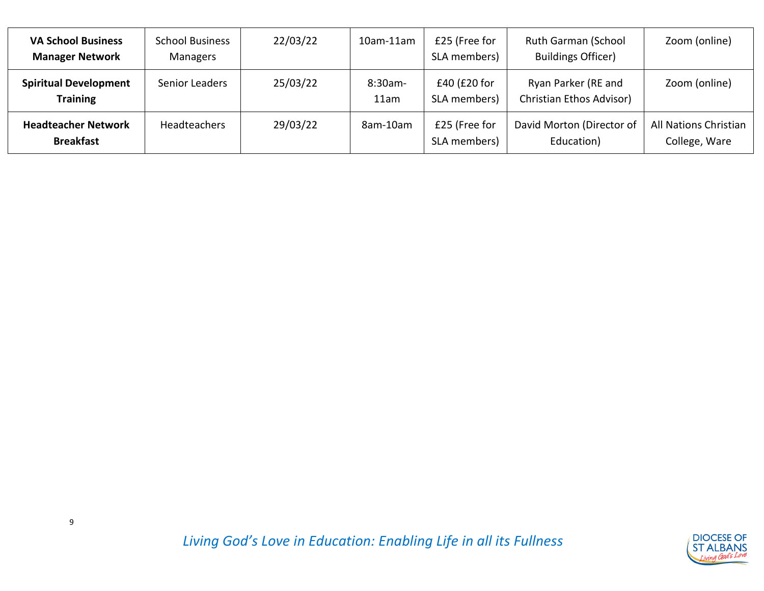| <b>VA School Business</b><br><b>Manager Network</b> | <b>School Business</b><br>Managers | 22/03/22 | $10$ am- $11$ am | £25 (Free for<br>SLA members) | <b>Ruth Garman (School</b><br><b>Buildings Officer)</b> | Zoom (online)                          |
|-----------------------------------------------------|------------------------------------|----------|------------------|-------------------------------|---------------------------------------------------------|----------------------------------------|
| <b>Spiritual Development</b><br><b>Training</b>     | Senior Leaders                     | 25/03/22 | 8:30am-<br>11am  | £40 (£20 for<br>SLA members)  | Ryan Parker (RE and<br>Christian Ethos Advisor)         | Zoom (online)                          |
| <b>Headteacher Network</b><br><b>Breakfast</b>      | <b>Headteachers</b>                | 29/03/22 | 8am-10am         | £25 (Free for<br>SLA members) | David Morton (Director of<br>Education)                 | All Nations Christian<br>College, Ware |

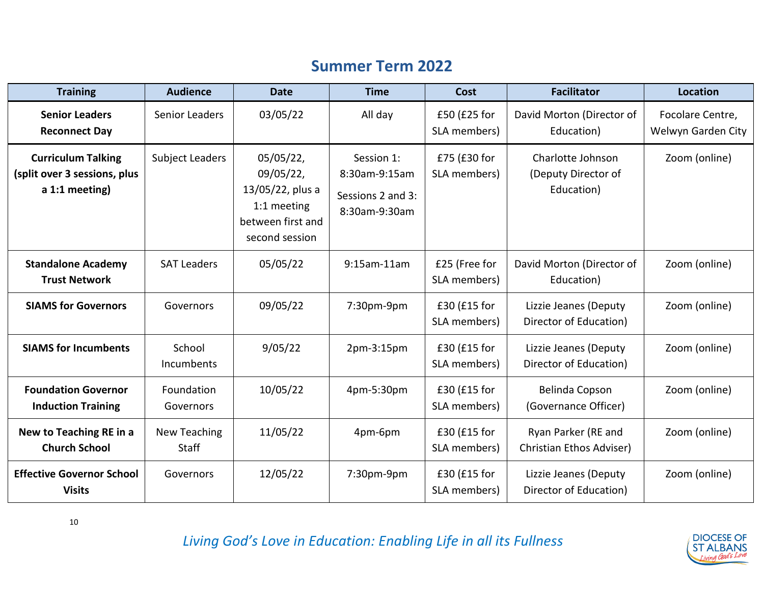### **Summer Term 2022**

| <b>Training</b>                                                             | <b>Audience</b>             | <b>Date</b>                                                                                      | <b>Time</b>                                                       | Cost                           | <b>Facilitator</b>                                     | <b>Location</b>                        |
|-----------------------------------------------------------------------------|-----------------------------|--------------------------------------------------------------------------------------------------|-------------------------------------------------------------------|--------------------------------|--------------------------------------------------------|----------------------------------------|
| <b>Senior Leaders</b><br><b>Reconnect Day</b>                               | Senior Leaders              | 03/05/22                                                                                         | All day                                                           | $£50$ (£25 for<br>SLA members) | David Morton (Director of<br>Education)                | Focolare Centre,<br>Welwyn Garden City |
| <b>Curriculum Talking</b><br>(split over 3 sessions, plus<br>a 1:1 meeting) | <b>Subject Leaders</b>      | 05/05/22,<br>09/05/22,<br>13/05/22, plus a<br>1:1 meeting<br>between first and<br>second session | Session 1:<br>8:30am-9:15am<br>Sessions 2 and 3:<br>8:30am-9:30am | £75 (£30 for<br>SLA members)   | Charlotte Johnson<br>(Deputy Director of<br>Education) | Zoom (online)                          |
| <b>Standalone Academy</b><br><b>Trust Network</b>                           | <b>SAT Leaders</b>          | 05/05/22                                                                                         | $9:15$ am-11am                                                    | £25 (Free for<br>SLA members)  | David Morton (Director of<br>Education)                | Zoom (online)                          |
| <b>SIAMS for Governors</b>                                                  | Governors                   | 09/05/22                                                                                         | 7:30pm-9pm                                                        | £30 (£15 for<br>SLA members)   | Lizzie Jeanes (Deputy<br>Director of Education)        | Zoom (online)                          |
| <b>SIAMS for Incumbents</b>                                                 | School<br><b>Incumbents</b> | 9/05/22                                                                                          | 2pm-3:15pm                                                        | £30 (£15 for<br>SLA members)   | Lizzie Jeanes (Deputy<br>Director of Education)        | Zoom (online)                          |
| <b>Foundation Governor</b><br><b>Induction Training</b>                     | Foundation<br>Governors     | 10/05/22                                                                                         | 4pm-5:30pm                                                        | £30 (£15 for<br>SLA members)   | Belinda Copson<br>(Governance Officer)                 | Zoom (online)                          |
| New to Teaching RE in a<br><b>Church School</b>                             | New Teaching<br>Staff       | 11/05/22                                                                                         | 4pm-6pm                                                           | £30 (£15 for<br>SLA members)   | Ryan Parker (RE and<br>Christian Ethos Adviser)        | Zoom (online)                          |
| <b>Effective Governor School</b><br><b>Visits</b>                           | Governors                   | 12/05/22                                                                                         | 7:30pm-9pm                                                        | £30 (£15 for<br>SLA members)   | Lizzie Jeanes (Deputy<br>Director of Education)        | Zoom (online)                          |

10

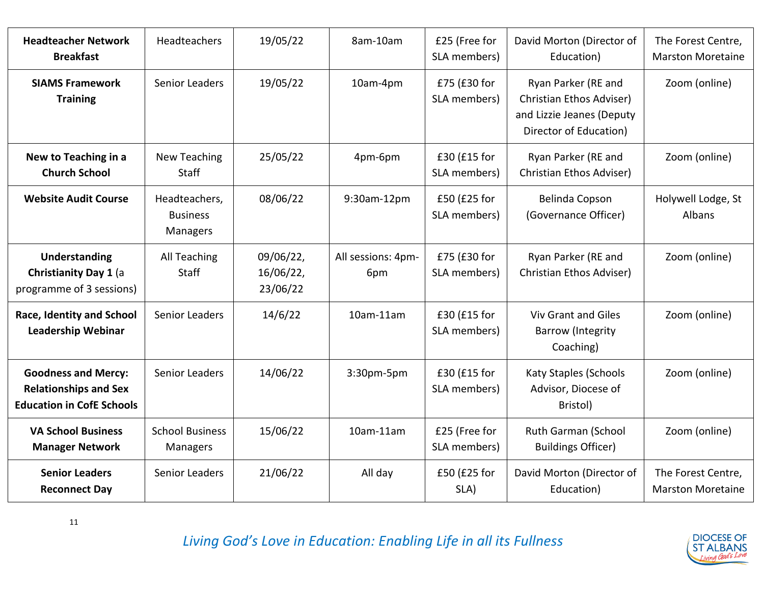| <b>Headteacher Network</b><br><b>Breakfast</b>                                                 | Headteachers                                 | 19/05/22                           | 8am-10am                  | £25 (Free for<br>SLA members) | David Morton (Director of<br>Education)                                                                | The Forest Centre,<br><b>Marston Moretaine</b> |
|------------------------------------------------------------------------------------------------|----------------------------------------------|------------------------------------|---------------------------|-------------------------------|--------------------------------------------------------------------------------------------------------|------------------------------------------------|
| <b>SIAMS Framework</b><br><b>Training</b>                                                      | <b>Senior Leaders</b>                        | 19/05/22                           | 10am-4pm                  | £75 (£30 for<br>SLA members)  | Ryan Parker (RE and<br>Christian Ethos Adviser)<br>and Lizzie Jeanes (Deputy<br>Director of Education) | Zoom (online)                                  |
| New to Teaching in a<br><b>Church School</b>                                                   | <b>New Teaching</b><br>Staff                 | 25/05/22                           | 4pm-6pm                   | £30 (£15 for<br>SLA members)  | Ryan Parker (RE and<br>Christian Ethos Adviser)                                                        | Zoom (online)                                  |
| <b>Website Audit Course</b>                                                                    | Headteachers,<br><b>Business</b><br>Managers | 08/06/22                           | 9:30am-12pm               | £50 (£25 for<br>SLA members)  | Belinda Copson<br>(Governance Officer)                                                                 | Holywell Lodge, St<br>Albans                   |
| <b>Understanding</b><br><b>Christianity Day 1 (a)</b><br>programme of 3 sessions)              | All Teaching<br><b>Staff</b>                 | 09/06/22,<br>16/06/22,<br>23/06/22 | All sessions: 4pm-<br>6pm | £75 (£30 for<br>SLA members)  | Ryan Parker (RE and<br>Christian Ethos Adviser)                                                        | Zoom (online)                                  |
| Race, Identity and School<br><b>Leadership Webinar</b>                                         | Senior Leaders                               | 14/6/22                            | $10am-11am$               | £30 (£15 for<br>SLA members)  | <b>Viv Grant and Giles</b><br><b>Barrow (Integrity</b><br>Coaching)                                    | Zoom (online)                                  |
| <b>Goodness and Mercy:</b><br><b>Relationships and Sex</b><br><b>Education in CofE Schools</b> | <b>Senior Leaders</b>                        | 14/06/22                           | 3:30pm-5pm                | £30 (£15 for<br>SLA members)  | Katy Staples (Schools<br>Advisor, Diocese of<br>Bristol)                                               | Zoom (online)                                  |
| <b>VA School Business</b><br><b>Manager Network</b>                                            | <b>School Business</b><br>Managers           | 15/06/22                           | $10am-11am$               | £25 (Free for<br>SLA members) | Ruth Garman (School<br><b>Buildings Officer)</b>                                                       | Zoom (online)                                  |
| <b>Senior Leaders</b><br><b>Reconnect Day</b>                                                  | <b>Senior Leaders</b>                        | 21/06/22                           | All day                   | £50 (£25 for<br>SLA)          | David Morton (Director of<br>Education)                                                                | The Forest Centre,<br><b>Marston Moretaine</b> |

11